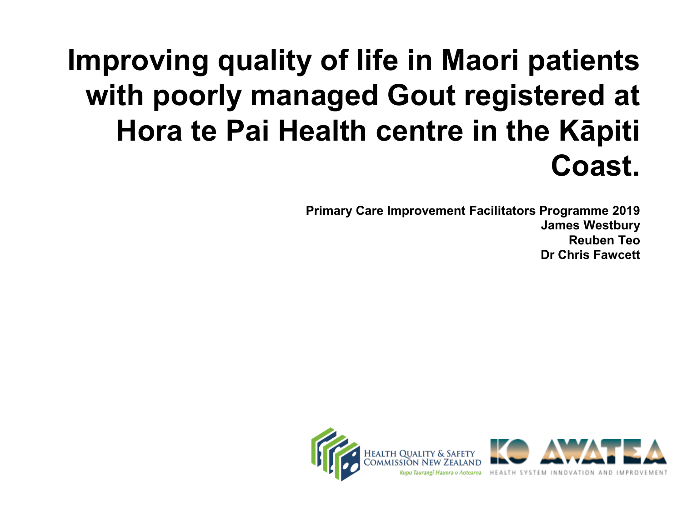#### **Improving quality of life in Maori patients with poorly managed Gout registered at Hora te Pai Health centre in the Kāpiti Coast.**

**Primary Care Improvement Facilitators Programme 2019 James Westbury Reuben Teo Dr Chris Fawcett**

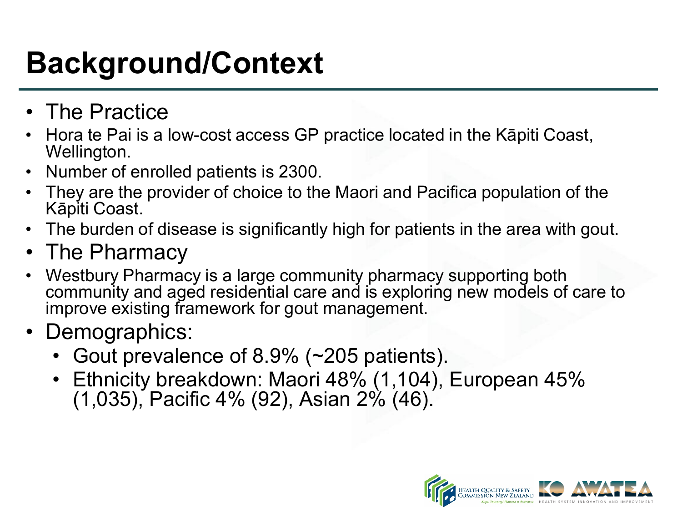# **Background/Context**

- The Practice
- Hora te Pai is a low-cost access GP practice located in the Kāpiti Coast, Wellington.
- Number of enrolled patients is 2300.
- They are the provider of choice to the Maori and Pacifica population of the Kāpiti Coast.
- The burden of disease is significantly high for patients in the area with gout.
- The Pharmacy
- Westbury Pharmacy is a large community pharmacy supporting both community and aged residential care and is exploring new models of care to improve existing framework for gout management.
- Demographics:
	- Gout prevalence of 8.9% (~205 patients).
	- Ethnicity breakdown: Maori 48% (1,104), European 45% (1,035), Pacific 4% (92), Asian 2% (46).

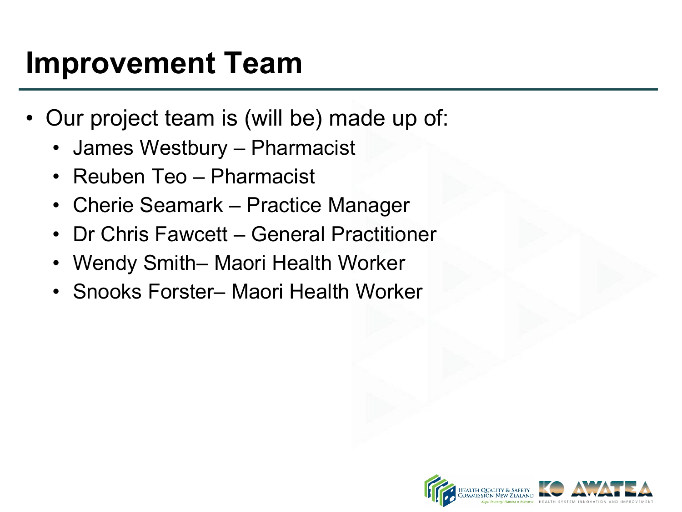#### **Improvement Team**

- Our project team is (will be) made up of:
	- James Westbury Pharmacist
	- Reuben Teo Pharmacist
	- Cherie Seamark Practice Manager
	- Dr Chris Fawcett General Practitioner
	- Wendy Smith– Maori Health Worker
	- Snooks Forster– Maori Health Worker

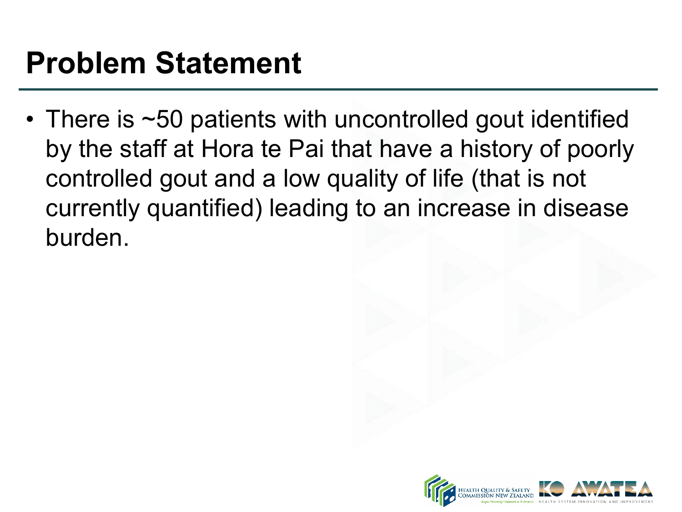#### **Problem Statement**

• There is ~50 patients with uncontrolled gout identified by the staff at Hora te Pai that have a history of poorly controlled gout and a low quality of life (that is not currently quantified) leading to an increase in disease burden.

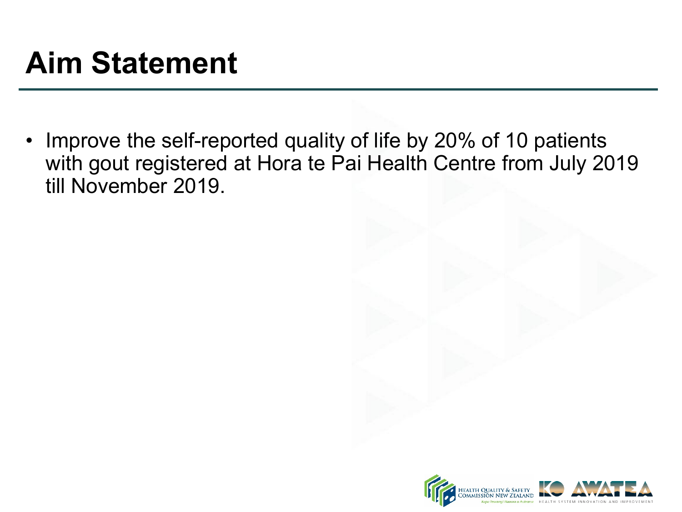## **Aim Statement**

• Improve the self-reported quality of life by 20% of 10 patients with gout registered at Hora te Pai Health Centre from July 2019 till November 2019.

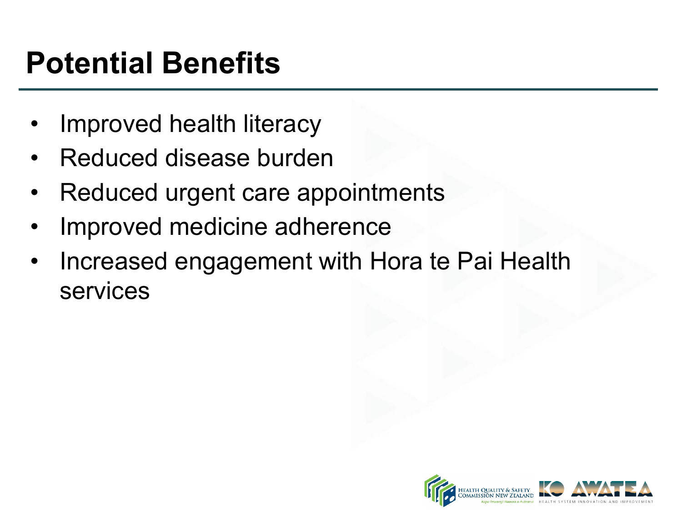# **Potential Benefits**

- Improved health literacy
- Reduced disease burden
- Reduced urgent care appointments
- Improved medicine adherence
- Increased engagement with Hora te Pai Health services

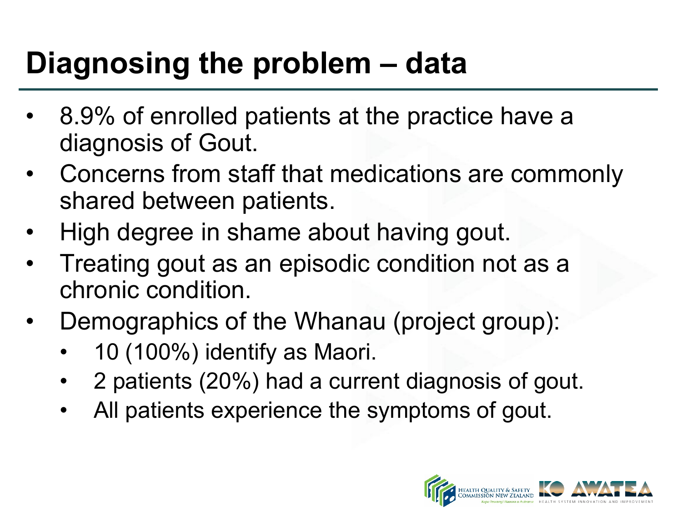## **Diagnosing the problem – data**

- 8.9% of enrolled patients at the practice have a diagnosis of Gout.
- Concerns from staff that medications are commonly shared between patients.
- High degree in shame about having gout.
- Treating gout as an episodic condition not as a chronic condition.
- Demographics of the Whanau (project group):
	- 10 (100%) identify as Maori.
	- 2 patients (20%) had a current diagnosis of gout.
	- All patients experience the symptoms of gout.

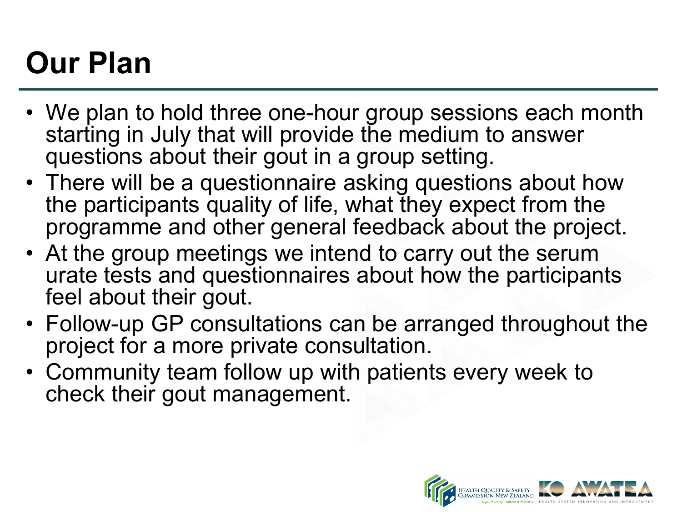# **Our Plan**

- We plan to hold three one-hour group sessions each month starting in July that will provide the medium to answer questions about their gout in a group setting.
- There will be a questionnaire asking questions about how the participants quality of life, what they expect from the programme and other general feedback about the project.
- At the group meetings we intend to carry out the serum urate tests and questionnaires about how the participants feel about their gout.
- Follow-up GP consultations can be arranged throughout the project for a more private consultation.
- Community team follow up with patients every week to check their gout management.

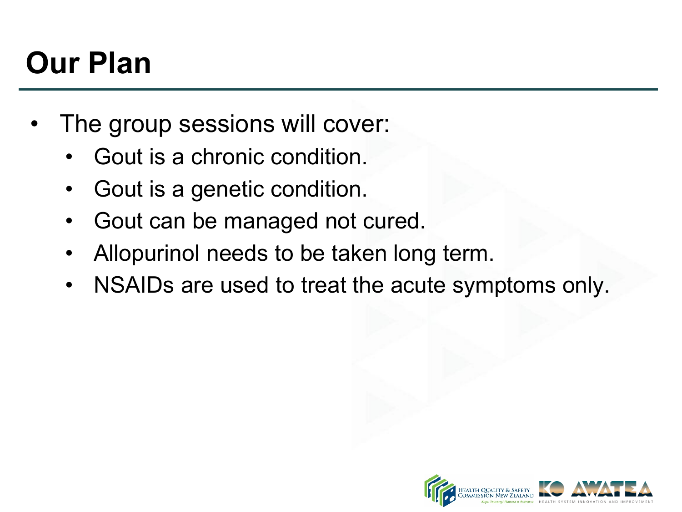# **Our Plan**

- The group sessions will cover:
	- Gout is a chronic condition.
	- Gout is a genetic condition.
	- Gout can be managed not cured.
	- Allopurinol needs to be taken long term.
	- NSAIDs are used to treat the acute symptoms only.

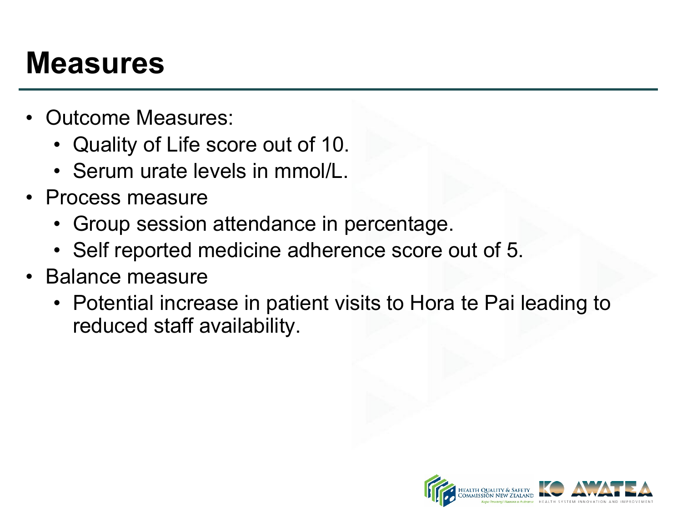#### **Measures**

- Outcome Measures:
	- Quality of Life score out of 10.
	- Serum urate levels in mmol/L.
- Process measure
	- Group session attendance in percentage.
	- Self reported medicine adherence score out of 5.
- Balance measure
	- Potential increase in patient visits to Hora te Pai leading to reduced staff availability.

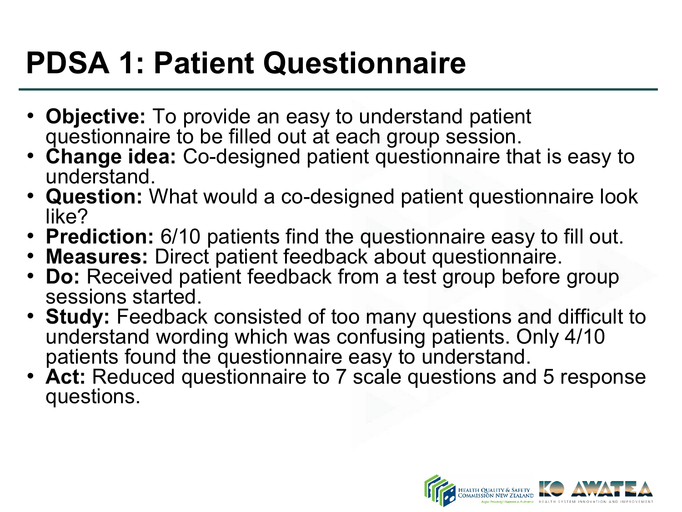# **PDSA 1: Patient Questionnaire**

- **Objective:** To provide an easy to understand patient questionnaire to be filled out at each group session.
- **Change idea:** Co-designed patient questionnaire that is easy to understand.
- **Question:** What would a co-designed patient questionnaire look like?
- **Prediction:** 6/10 patients find the questionnaire easy to fill out.
- **Measures:** Direct patient feedback about questionnaire.
- **Do:** Received patient feedback from a test group before group sessions started.
- **Study:** Feedback consisted of too many questions and difficult to understand wording which was confusing patients. Only 4/10 patients found the questionnaire easy to understand.
- **Act:** Reduced questionnaire to 7 scale questions and 5 response questions.

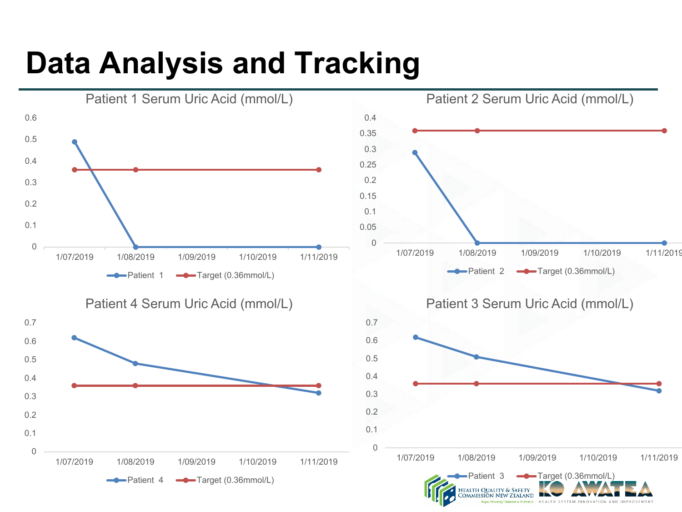# **Data Analysis and Tracking**

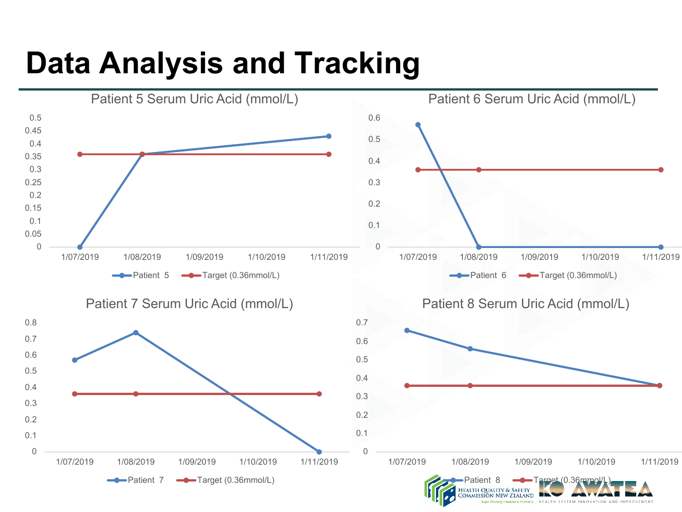## **Data Analysis and Tracking**

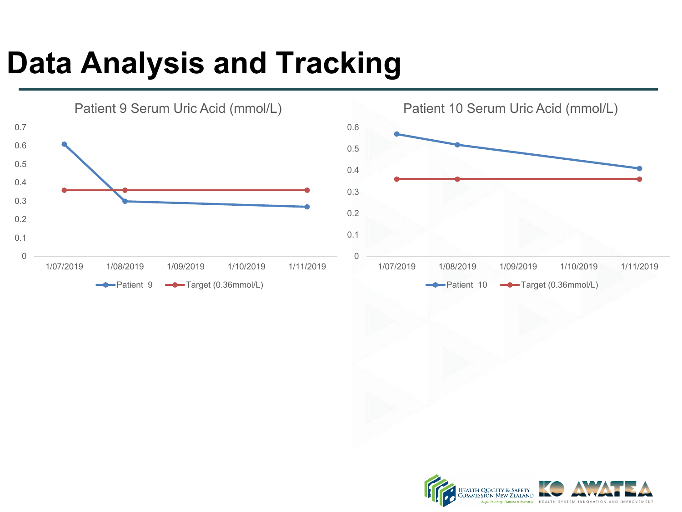# **Data Analysis and Tracking**



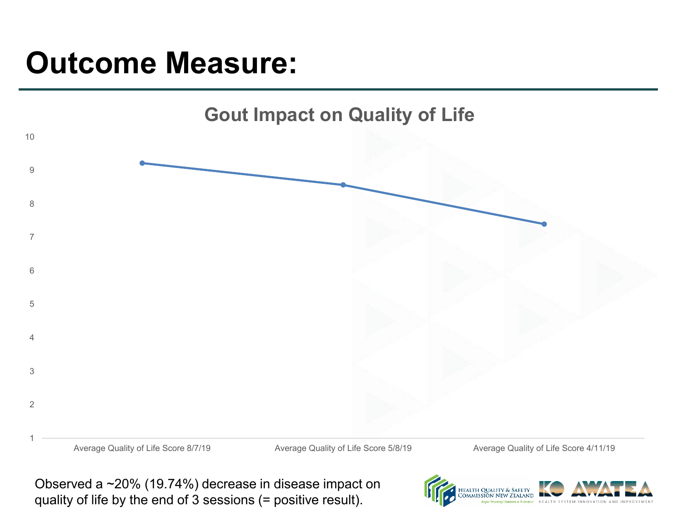#### **Outcome Measure:**



Observed a ~20% (19.74%) decrease in disease impact on quality of life by the end of 3 sessions (= positive result).

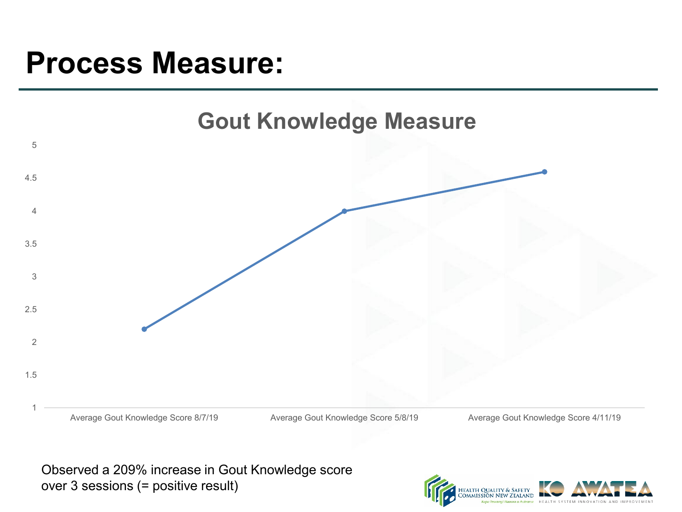#### **Process Measure:**



Observed a 209% increase in Gout Knowledge score over 3 sessions (= positive result)

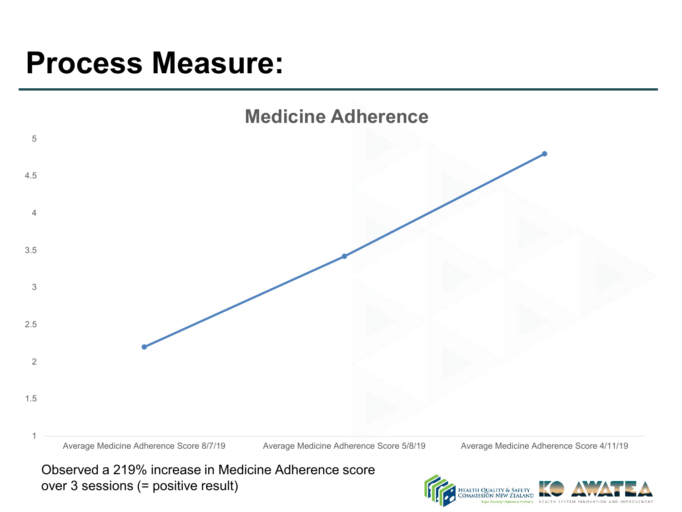#### **Process Measure:**



Observed a 219% increase in Medicine Adherence score over 3 sessions (= positive result)

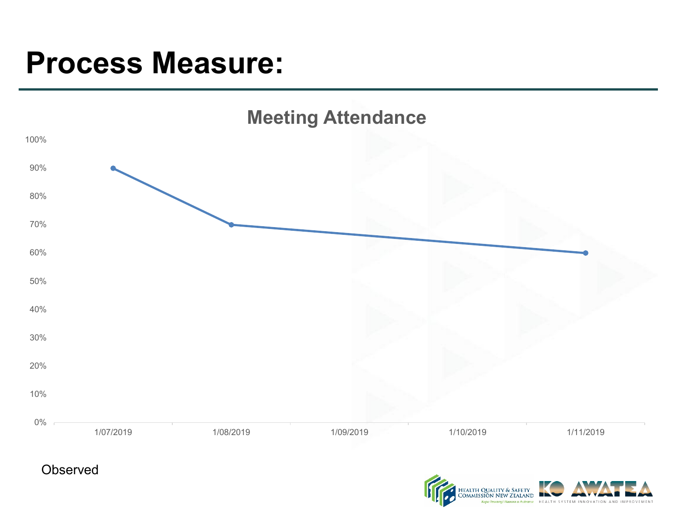#### **Process Measure:**



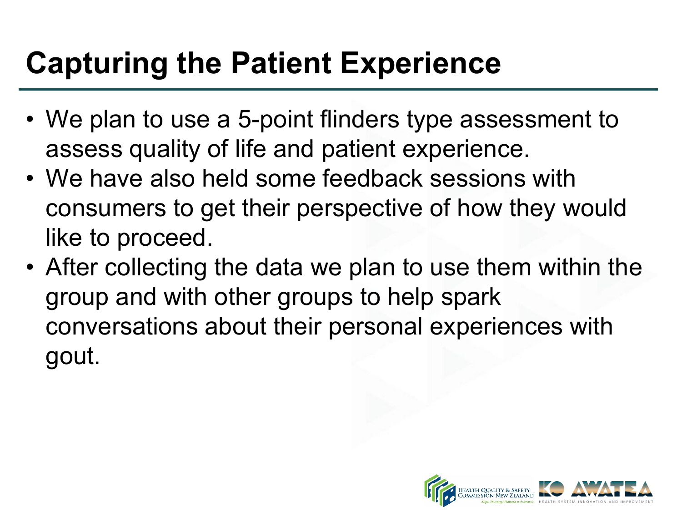# **Capturing the Patient Experience**

- We plan to use a 5-point flinders type assessment to assess quality of life and patient experience.
- We have also held some feedback sessions with consumers to get their perspective of how they would like to proceed.
- After collecting the data we plan to use them within the group and with other groups to help spark conversations about their personal experiences with gout.

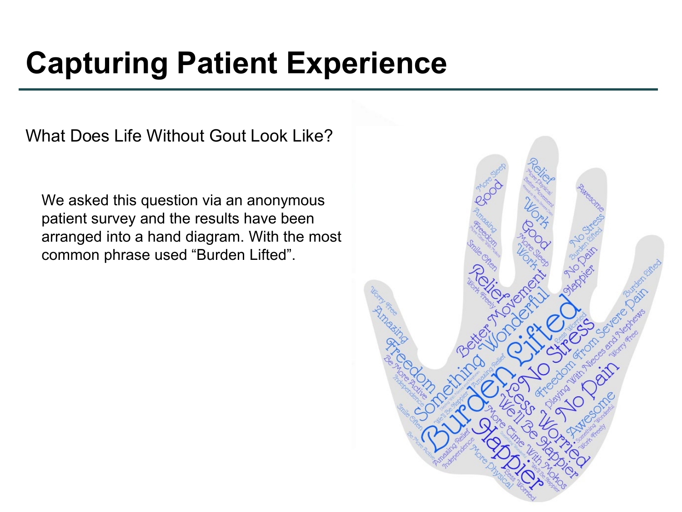#### **Capturing Patient Experience**

What Does Life Without Gout Look Like?

We asked this question via an anonymous patient survey and the results have been arranged into a hand diagram. With the most common phrase used "Burden Lifted".

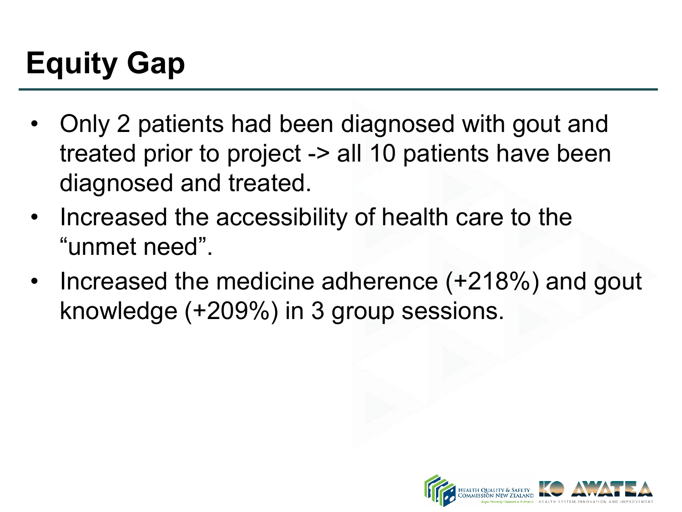# **Equity Gap**

- Only 2 patients had been diagnosed with gout and treated prior to project -> all 10 patients have been diagnosed and treated.
- Increased the accessibility of health care to the "unmet need".
- Increased the medicine adherence (+218%) and gout knowledge (+209%) in 3 group sessions.

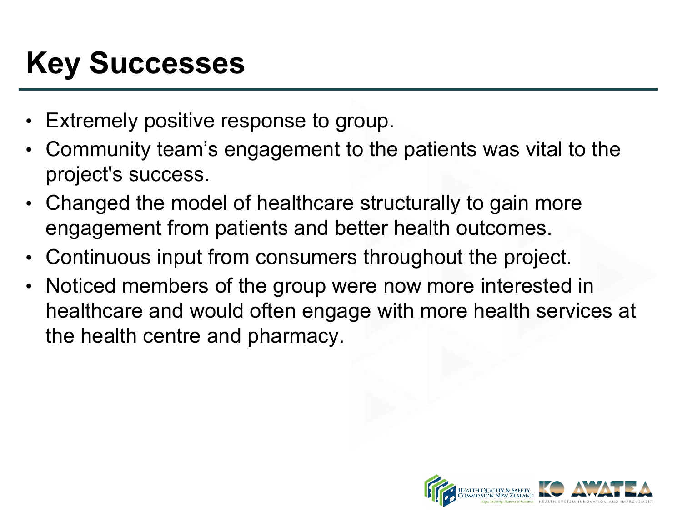# **Key Successes**

- Extremely positive response to group.
- Community team's engagement to the patients was vital to the project's success.
- Changed the model of healthcare structurally to gain more engagement from patients and better health outcomes.
- Continuous input from consumers throughout the project.
- Noticed members of the group were now more interested in healthcare and would often engage with more health services at the health centre and pharmacy.